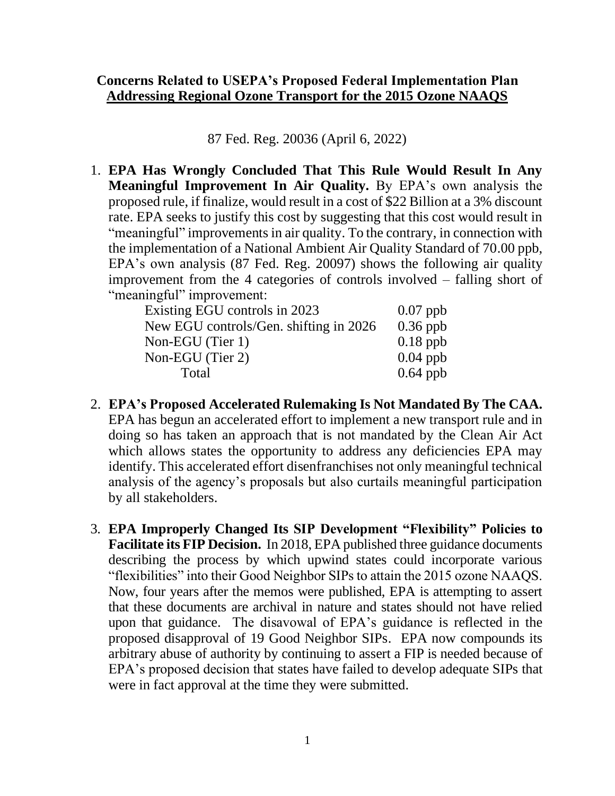## **Concerns Related to USEPA's Proposed Federal Implementation Plan Addressing Regional Ozone Transport for the 2015 Ozone NAAQS**

87 Fed. Reg. 20036 (April 6, 2022)

1. **EPA Has Wrongly Concluded That This Rule Would Result In Any Meaningful Improvement In Air Quality.** By EPA's own analysis the proposed rule, if finalize, would result in a cost of \$22 Billion at a 3% discount rate. EPA seeks to justify this cost by suggesting that this cost would result in "meaningful" improvements in air quality. To the contrary, in connection with the implementation of a National Ambient Air Quality Standard of 70.00 ppb, EPA's own analysis (87 Fed. Reg. 20097) shows the following air quality improvement from the 4 categories of controls involved – falling short of "meaningful" improvement:

| Existing EGU controls in 2023          | $0.07$ ppb |
|----------------------------------------|------------|
| New EGU controls/Gen. shifting in 2026 | $0.36$ ppb |
| Non-EGU (Tier 1)                       | $0.18$ ppb |
| Non-EGU (Tier 2)                       | $0.04$ ppb |
| Total                                  | $0.64$ ppb |

- 2. **EPA's Proposed Accelerated Rulemaking Is Not Mandated By The CAA.** EPA has begun an accelerated effort to implement a new transport rule and in doing so has taken an approach that is not mandated by the Clean Air Act which allows states the opportunity to address any deficiencies EPA may identify. This accelerated effort disenfranchises not only meaningful technical analysis of the agency's proposals but also curtails meaningful participation by all stakeholders.
- 3. **EPA Improperly Changed Its SIP Development "Flexibility" Policies to Facilitate its FIP Decision.** In 2018, EPA published three guidance documents describing the process by which upwind states could incorporate various "flexibilities" into their Good Neighbor SIPs to attain the 2015 ozone NAAQS. Now, four years after the memos were published, EPA is attempting to assert that these documents are archival in nature and states should not have relied upon that guidance. The disavowal of EPA's guidance is reflected in the proposed disapproval of 19 Good Neighbor SIPs. EPA now compounds its arbitrary abuse of authority by continuing to assert a FIP is needed because of EPA's proposed decision that states have failed to develop adequate SIPs that were in fact approval at the time they were submitted.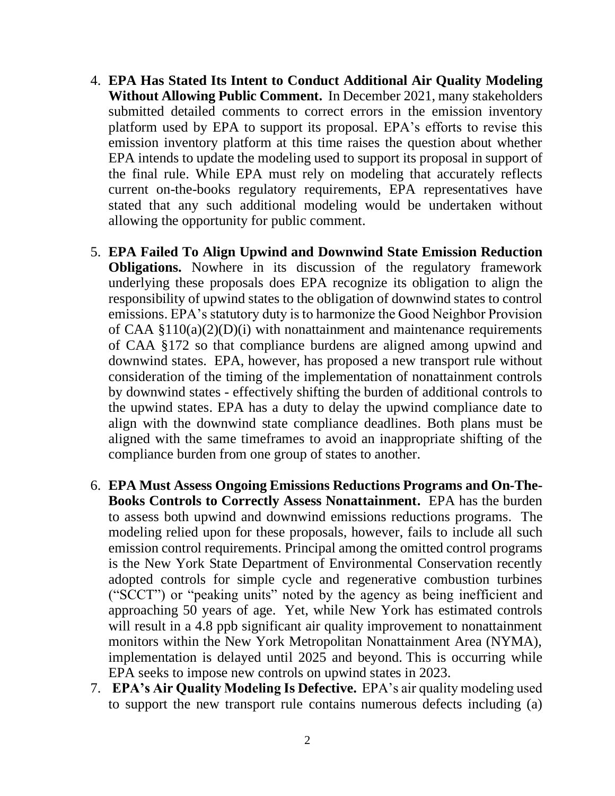- 4. **EPA Has Stated Its Intent to Conduct Additional Air Quality Modeling Without Allowing Public Comment.** In December 2021, many stakeholders submitted detailed comments to correct errors in the emission inventory platform used by EPA to support its proposal. EPA's efforts to revise this emission inventory platform at this time raises the question about whether EPA intends to update the modeling used to support its proposal in support of the final rule. While EPA must rely on modeling that accurately reflects current on-the-books regulatory requirements, EPA representatives have stated that any such additional modeling would be undertaken without allowing the opportunity for public comment.
- 5. **EPA Failed To Align Upwind and Downwind State Emission Reduction Obligations.** Nowhere in its discussion of the regulatory framework underlying these proposals does EPA recognize its obligation to align the responsibility of upwind states to the obligation of downwind states to control emissions. EPA's statutory duty is to harmonize the Good Neighbor Provision of CAA  $$110(a)(2)(D)(i)$  with nonattainment and maintenance requirements of CAA §172 so that compliance burdens are aligned among upwind and downwind states. EPA, however, has proposed a new transport rule without consideration of the timing of the implementation of nonattainment controls by downwind states - effectively shifting the burden of additional controls to the upwind states. EPA has a duty to delay the upwind compliance date to align with the downwind state compliance deadlines. Both plans must be aligned with the same timeframes to avoid an inappropriate shifting of the compliance burden from one group of states to another.
- 6. **EPA Must Assess Ongoing Emissions Reductions Programs and On-The-Books Controls to Correctly Assess Nonattainment.** EPA has the burden to assess both upwind and downwind emissions reductions programs. The modeling relied upon for these proposals, however, fails to include all such emission control requirements. Principal among the omitted control programs is the New York State Department of Environmental Conservation recently adopted controls for simple cycle and regenerative combustion turbines ("SCCT") or "peaking units" noted by the agency as being inefficient and approaching 50 years of age. Yet, while New York has estimated controls will result in a 4.8 ppb significant air quality improvement to nonattainment monitors within the New York Metropolitan Nonattainment Area (NYMA), implementation is delayed until 2025 and beyond. This is occurring while EPA seeks to impose new controls on upwind states in 2023.
- 7. **EPA's Air Quality Modeling Is Defective.** EPA's air quality modeling used to support the new transport rule contains numerous defects including (a)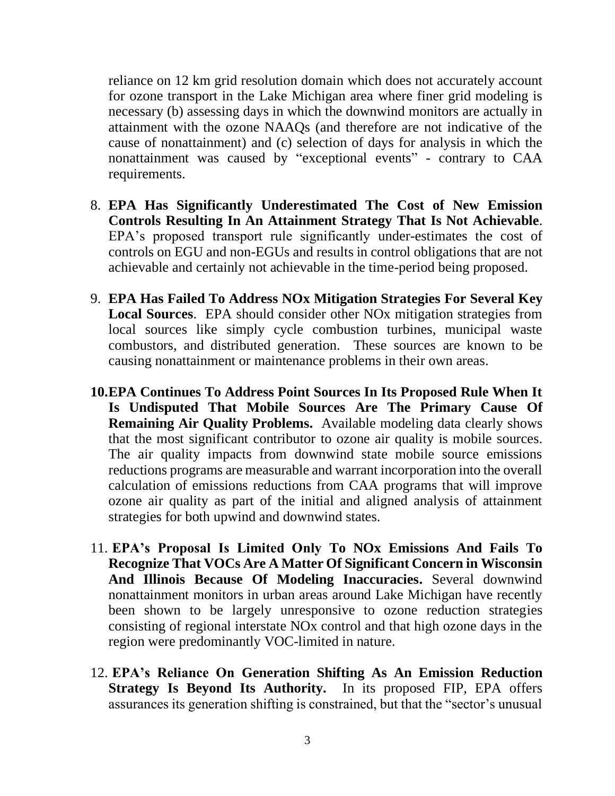reliance on 12 km grid resolution domain which does not accurately account for ozone transport in the Lake Michigan area where finer grid modeling is necessary (b) assessing days in which the downwind monitors are actually in attainment with the ozone NAAQs (and therefore are not indicative of the cause of nonattainment) and (c) selection of days for analysis in which the nonattainment was caused by "exceptional events" - contrary to CAA requirements.

- 8. **EPA Has Significantly Underestimated The Cost of New Emission Controls Resulting In An Attainment Strategy That Is Not Achievable**. EPA's proposed transport rule significantly under-estimates the cost of controls on EGU and non-EGUs and results in control obligations that are not achievable and certainly not achievable in the time-period being proposed.
- 9. **EPA Has Failed To Address NOx Mitigation Strategies For Several Key Local Sources**. EPA should consider other NOx mitigation strategies from local sources like simply cycle combustion turbines, municipal waste combustors, and distributed generation. These sources are known to be causing nonattainment or maintenance problems in their own areas.
- **10.EPA Continues To Address Point Sources In Its Proposed Rule When It Is Undisputed That Mobile Sources Are The Primary Cause Of Remaining Air Quality Problems.** Available modeling data clearly shows that the most significant contributor to ozone air quality is mobile sources. The air quality impacts from downwind state mobile source emissions reductions programs are measurable and warrant incorporation into the overall calculation of emissions reductions from CAA programs that will improve ozone air quality as part of the initial and aligned analysis of attainment strategies for both upwind and downwind states.
- 11. **EPA's Proposal Is Limited Only To NOx Emissions And Fails To Recognize That VOCs Are A Matter Of Significant Concern in Wisconsin And Illinois Because Of Modeling Inaccuracies.** Several downwind nonattainment monitors in urban areas around Lake Michigan have recently been shown to be largely unresponsive to ozone reduction strategies consisting of regional interstate NOx control and that high ozone days in the region were predominantly VOC-limited in nature.
- 12. **EPA's Reliance On Generation Shifting As An Emission Reduction Strategy Is Beyond Its Authority.** In its proposed FIP, EPA offers assurances its generation shifting is constrained, but that the "sector's unusual